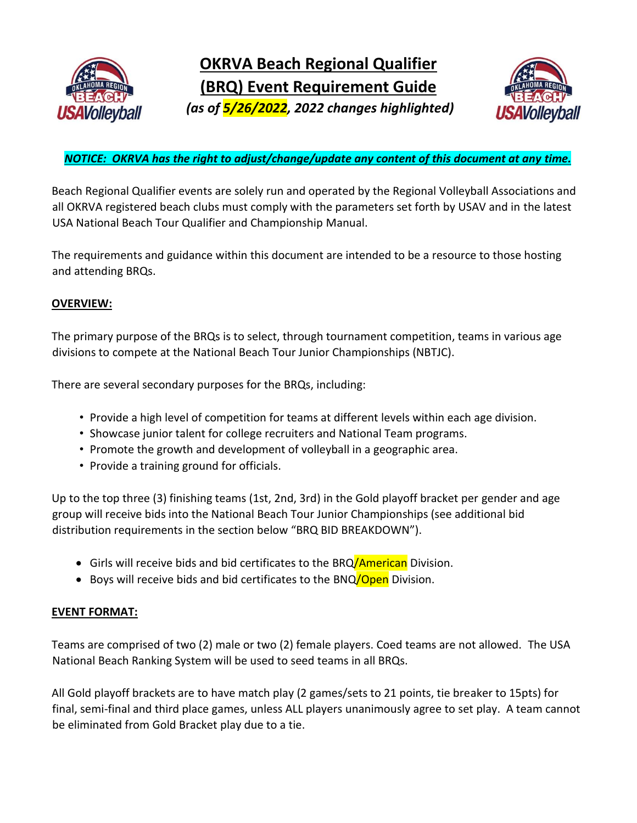



### *NOTICE: OKRVA has the right to adjust/change/update any content of this document at any time.*

Beach Regional Qualifier events are solely run and operated by the Regional Volleyball Associations and all OKRVA registered beach clubs must comply with the parameters set forth by USAV and in the latest USA National Beach Tour Qualifier and Championship Manual.

The requirements and guidance within this document are intended to be a resource to those hosting and attending BRQs.

#### **OVERVIEW:**

The primary purpose of the BRQs is to select, through tournament competition, teams in various age divisions to compete at the National Beach Tour Junior Championships (NBTJC).

There are several secondary purposes for the BRQs, including:

- Provide a high level of competition for teams at different levels within each age division.
- Showcase junior talent for college recruiters and National Team programs.
- Promote the growth and development of volleyball in a geographic area.
- Provide a training ground for officials.

Up to the top three (3) finishing teams (1st, 2nd, 3rd) in the Gold playoff bracket per gender and age group will receive bids into the National Beach Tour Junior Championships (see additional bid distribution requirements in the section below "BRQ BID BREAKDOWN").

- Girls will receive bids and bid certificates to the BRQ/American Division.
- Boys will receive bids and bid certificates to the BNQ/Open Division.

#### **EVENT FORMAT:**

Teams are comprised of two (2) male or two (2) female players. Coed teams are not allowed. The USA National Beach Ranking System will be used to seed teams in all BRQs.

All Gold playoff brackets are to have match play (2 games/sets to 21 points, tie breaker to 15pts) for final, semi-final and third place games, unless ALL players unanimously agree to set play. A team cannot be eliminated from Gold Bracket play due to a tie.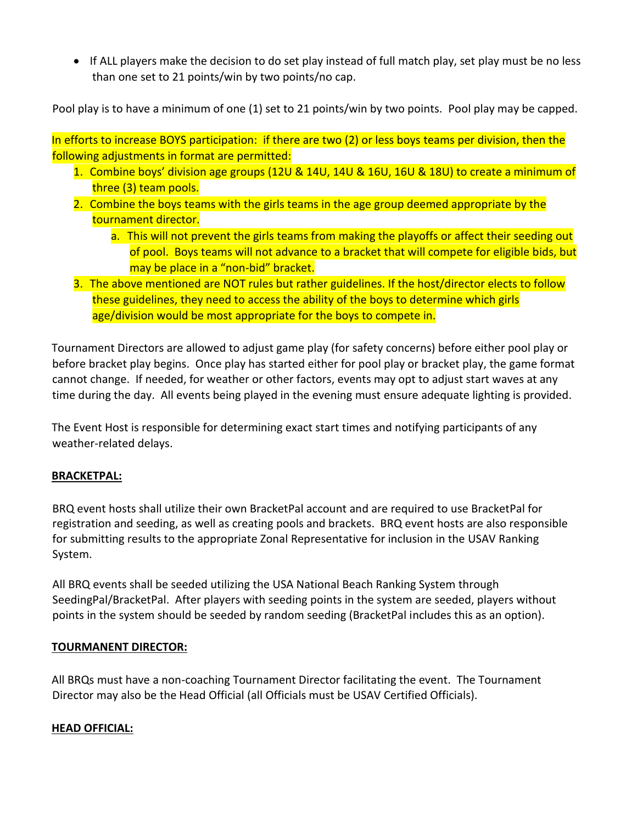• If ALL players make the decision to do set play instead of full match play, set play must be no less than one set to 21 points/win by two points/no cap.

Pool play is to have a minimum of one (1) set to 21 points/win by two points. Pool play may be capped.

In efforts to increase BOYS participation: if there are two (2) or less boys teams per division, then the following adjustments in format are permitted:

- 1. Combine boys' division age groups (12U & 14U, 14U & 16U, 16U & 18U) to create a minimum of three (3) team pools.
- 2. Combine the boys teams with the girls teams in the age group deemed appropriate by the tournament director.
	- a. This will not prevent the girls teams from making the playoffs or affect their seeding out of pool. Boys teams will not advance to a bracket that will compete for eligible bids, but may be place in a "non-bid" bracket.
- 3. The above mentioned are NOT rules but rather guidelines. If the host/director elects to follow these guidelines, they need to access the ability of the boys to determine which girls age/division would be most appropriate for the boys to compete in.

Tournament Directors are allowed to adjust game play (for safety concerns) before either pool play or before bracket play begins. Once play has started either for pool play or bracket play, the game format cannot change. If needed, for weather or other factors, events may opt to adjust start waves at any time during the day. All events being played in the evening must ensure adequate lighting is provided.

The Event Host is responsible for determining exact start times and notifying participants of any weather-related delays.

### **BRACKETPAL:**

BRQ event hosts shall utilize their own BracketPal account and are required to use BracketPal for registration and seeding, as well as creating pools and brackets. BRQ event hosts are also responsible for submitting results to the appropriate Zonal Representative for inclusion in the USAV Ranking System.

All BRQ events shall be seeded utilizing the USA National Beach Ranking System through SeedingPal/BracketPal. After players with seeding points in the system are seeded, players without points in the system should be seeded by random seeding (BracketPal includes this as an option).

### **TOURMANENT DIRECTOR:**

All BRQs must have a non-coaching Tournament Director facilitating the event. The Tournament Director may also be the Head Official (all Officials must be USAV Certified Officials).

### **HEAD OFFICIAL:**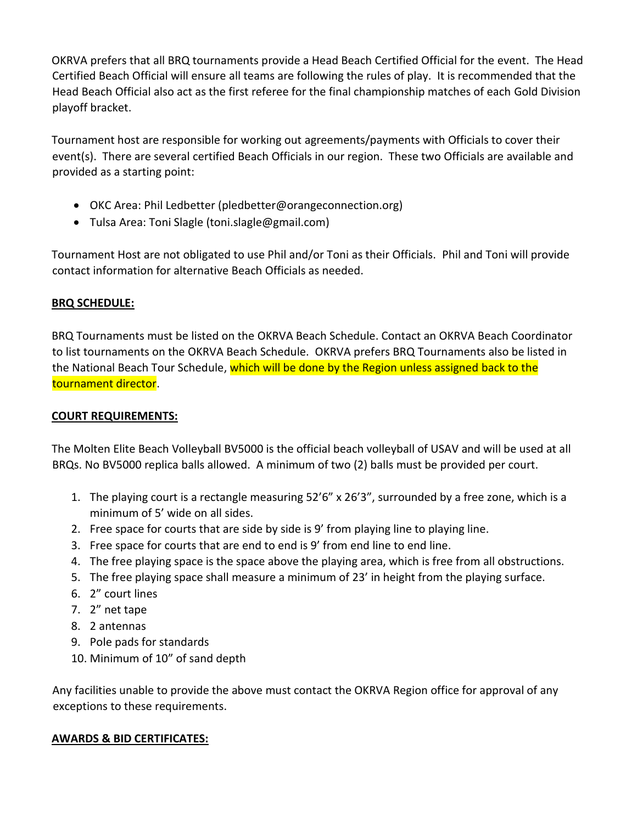OKRVA prefers that all BRQ tournaments provide a Head Beach Certified Official for the event. The Head Certified Beach Official will ensure all teams are following the rules of play. It is recommended that the Head Beach Official also act as the first referee for the final championship matches of each Gold Division playoff bracket.

Tournament host are responsible for working out agreements/payments with Officials to cover their event(s). There are several certified Beach Officials in our region. These two Officials are available and provided as a starting point:

- OKC Area: Phil Ledbetter (pledbetter@orangeconnection.org)
- Tulsa Area: Toni Slagle (toni.slagle@gmail.com)

Tournament Host are not obligated to use Phil and/or Toni as their Officials. Phil and Toni will provide contact information for alternative Beach Officials as needed.

# **BRQ SCHEDULE:**

BRQ Tournaments must be listed on the OKRVA Beach Schedule. Contact an OKRVA Beach Coordinator to list tournaments on the OKRVA Beach Schedule. OKRVA prefers BRQ Tournaments also be listed in the National Beach Tour Schedule, which will be done by the Region unless assigned back to the tournament director.

# **COURT REQUIREMENTS:**

The Molten Elite Beach Volleyball BV5000 is the official beach volleyball of USAV and will be used at all BRQs. No BV5000 replica balls allowed. A minimum of two (2) balls must be provided per court.

- 1. The playing court is a rectangle measuring 52'6" x 26'3", surrounded by a free zone, which is a minimum of 5' wide on all sides.
- 2. Free space for courts that are side by side is 9' from playing line to playing line.
- 3. Free space for courts that are end to end is 9' from end line to end line.
- 4. The free playing space is the space above the playing area, which is free from all obstructions.
- 5. The free playing space shall measure a minimum of 23' in height from the playing surface.
- 6. 2" court lines
- 7. 2" net tape
- 8. 2 antennas
- 9. Pole pads for standards
- 10. Minimum of 10" of sand depth

Any facilities unable to provide the above must contact the OKRVA Region office for approval of any exceptions to these requirements.

### **AWARDS & BID CERTIFICATES:**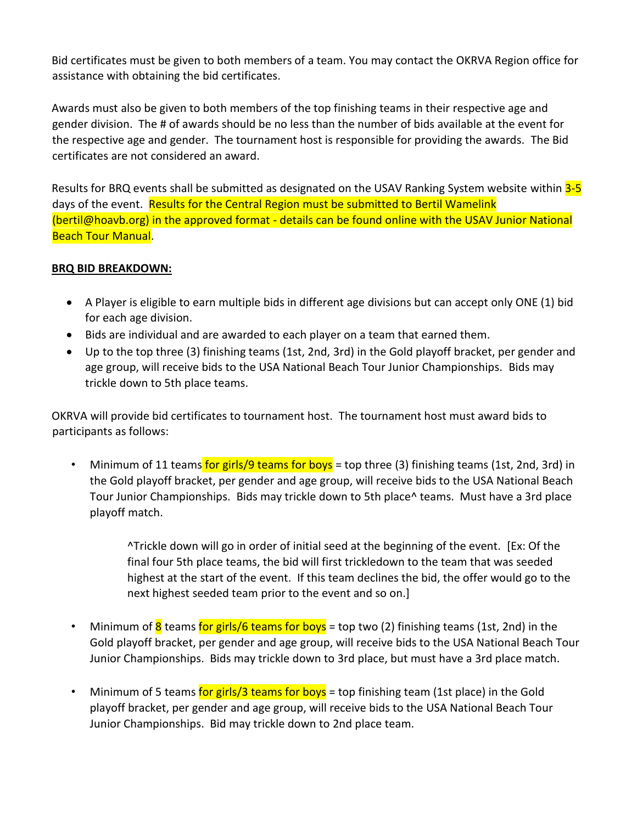Bid certificates must be given to both members of a team. You may contact the OKRVA Region office for assistance with obtaining the bid certificates.

Awards must also be given to both members of the top finishing teams in their respective age and gender division. The # of awards should be no less than the number of bids available at the event for the respective age and gender. The tournament host is responsible for providing the awards. The Bid certificates are not considered an award.

Results for BRQ events shall be submitted as designated on the USAV Ranking System website within 3-5 days of the event. Results for the Central Region must be submitted to Bertil Wamelink (bertil@hoavb.org) in the approved format - details can be found online with the USAV Junior National Beach Tour Manual.

### **BRQ BID BREAKDOWN:**

- A Player is eligible to earn multiple bids in different age divisions but can accept only ONE (1) bid for each age division.
- Bids are individual and are awarded to each player on a team that earned them.
- Up to the top three (3) finishing teams (1st, 2nd, 3rd) in the Gold playoff bracket, per gender and age group, will receive bids to the USA National Beach Tour Junior Championships. Bids may trickle down to 5th place teams.

OKRVA will provide bid certificates to tournament host. The tournament host must award bids to participants as follows:

• Minimum of 11 teams for girls/9 teams for boys = top three (3) finishing teams (1st, 2nd, 3rd) in the Gold playoff bracket, per gender and age group, will receive bids to the USA National Beach Tour Junior Championships. Bids may trickle down to 5th place^ teams. Must have a 3rd place playoff match.

> ^Trickle down will go in order of initial seed at the beginning of the event. [Ex: Of the final four 5th place teams, the bid will first trickledown to the team that was seeded highest at the start of the event. If this team declines the bid, the offer would go to the next highest seeded team prior to the event and so on.]

- Minimum of  $8$  teams for girls/6 teams for boys = top two (2) finishing teams (1st, 2nd) in the Gold playoff bracket, per gender and age group, will receive bids to the USA National Beach Tour Junior Championships. Bids may trickle down to 3rd place, but must have a 3rd place match.
- Minimum of 5 teams for girls/3 teams for boys = top finishing team (1st place) in the Gold playoff bracket, per gender and age group, will receive bids to the USA National Beach Tour Junior Championships. Bid may trickle down to 2nd place team.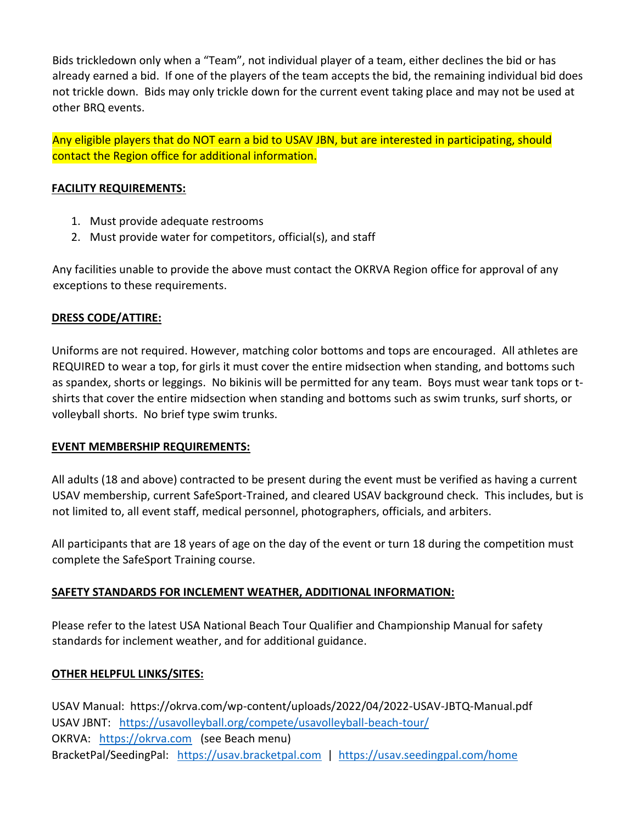Bids trickledown only when a "Team", not individual player of a team, either declines the bid or has already earned a bid. If one of the players of the team accepts the bid, the remaining individual bid does not trickle down. Bids may only trickle down for the current event taking place and may not be used at other BRQ events.

Any eligible players that do NOT earn a bid to USAV JBN, but are interested in participating, should contact the Region office for additional information.

### **FACILITY REQUIREMENTS:**

- 1. Must provide adequate restrooms
- 2. Must provide water for competitors, official(s), and staff

Any facilities unable to provide the above must contact the OKRVA Region office for approval of any exceptions to these requirements.

### **DRESS CODE/ATTIRE:**

Uniforms are not required. However, matching color bottoms and tops are encouraged. All athletes are REQUIRED to wear a top, for girls it must cover the entire midsection when standing, and bottoms such as spandex, shorts or leggings. No bikinis will be permitted for any team. Boys must wear tank tops or tshirts that cover the entire midsection when standing and bottoms such as swim trunks, surf shorts, or volleyball shorts. No brief type swim trunks.

### **EVENT MEMBERSHIP REQUIREMENTS:**

All adults (18 and above) contracted to be present during the event must be verified as having a current USAV membership, current SafeSport-Trained, and cleared USAV background check. This includes, but is not limited to, all event staff, medical personnel, photographers, officials, and arbiters.

All participants that are 18 years of age on the day of the event or turn 18 during the competition must complete the SafeSport Training course.

# **SAFETY STANDARDS FOR INCLEMENT WEATHER, ADDITIONAL INFORMATION:**

Please refer to the latest USA National Beach Tour Qualifier and Championship Manual for safety standards for inclement weather, and for additional guidance.

### **OTHER HELPFUL LINKS/SITES:**

USAV Manual: https://okrva.com/wp-content/uploads/2022/04/2022-USAV-JBTQ-Manual.pdf USAV JBNT:<https://usavolleyball.org/compete/usavolleyball-beach-tour/> OKRVA: [https://okrva.com](https://okrva.com/) (see Beach menu) BracketPal/SeedingPal: [https://usav.bracketpal.com](https://usav.bracketpal.com/) | <https://usav.seedingpal.com/home>